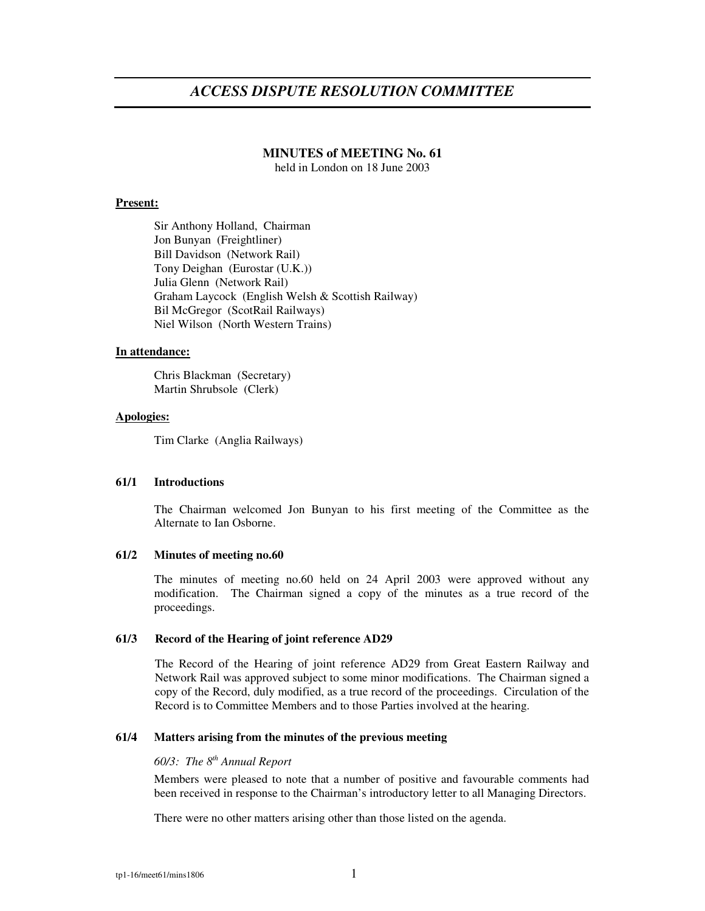# *ACCESS DISPUTE RESOLUTION COMMITTEE*

# **MINUTES of MEETING No. 61**

held in London on 18 June 2003

### **Present:**

Sir Anthony Holland, Chairman Jon Bunyan (Freightliner) Bill Davidson (Network Rail) Tony Deighan (Eurostar (U.K.)) Julia Glenn (Network Rail) Graham Laycock (English Welsh & Scottish Railway) Bil McGregor (ScotRail Railways) Niel Wilson (North Western Trains)

#### **In attendance:**

Chris Blackman (Secretary) Martin Shrubsole (Clerk)

# **Apologies:**

Tim Clarke (Anglia Railways)

### **61/1 Introductions**

The Chairman welcomed Jon Bunyan to his first meeting of the Committee as the Alternate to Ian Osborne.

### **61/2 Minutes of meeting no.60**

The minutes of meeting no.60 held on 24 April 2003 were approved without any modification. The Chairman signed a copy of the minutes as a true record of the proceedings.

### **61/3 Record of the Hearing of joint reference AD29**

The Record of the Hearing of joint reference AD29 from Great Eastern Railway and Network Rail was approved subject to some minor modifications. The Chairman signed a copy of the Record, duly modified, as a true record of the proceedings. Circulation of the Record is to Committee Members and to those Parties involved at the hearing.

# **61/4 Matters arising from the minutes of the previous meeting**

# *60/3: The 8 th Annual Report*

Members were pleased to note that a number of positive and favourable comments had been received in response to the Chairman's introductory letter to all Managing Directors.

There were no other matters arising other than those listed on the agenda.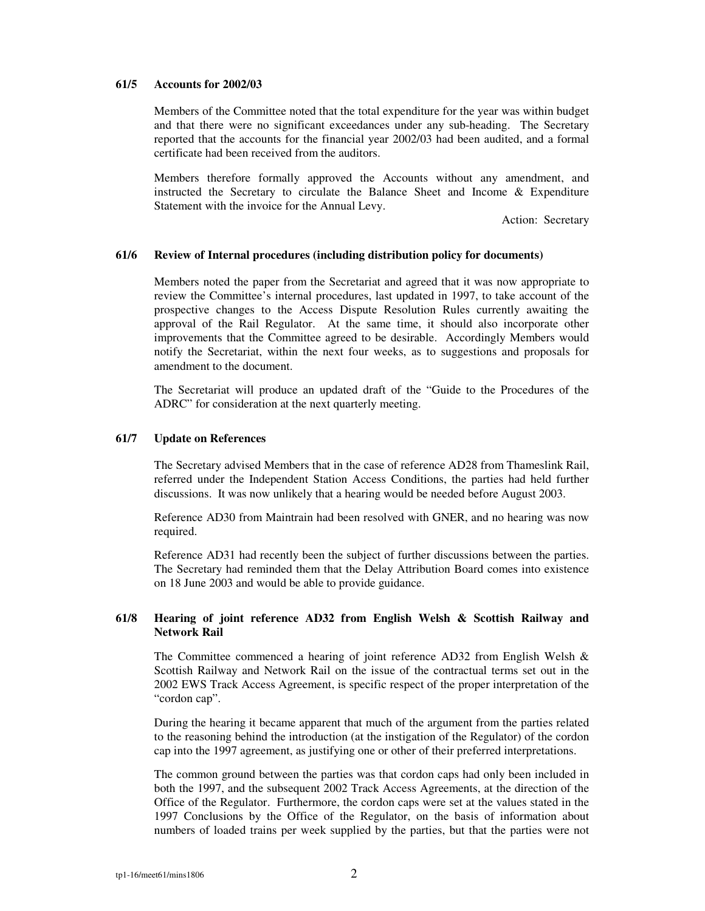### **61/5 Accounts for 2002/03**

Members of the Committee noted that the total expenditure for the year was within budget and that there were no significant exceedances under any sub-heading. The Secretary reported that the accounts for the financial year 2002/03 had been audited, and a formal certificate had been received from the auditors.

Members therefore formally approved the Accounts without any amendment, and instructed the Secretary to circulate the Balance Sheet and Income & Expenditure Statement with the invoice for the Annual Levy.

Action: Secretary

### **61/6 Review of Internal procedures (including distribution policy for documents)**

Members noted the paper from the Secretariat and agreed that it was now appropriate to review the Committee's internal procedures, last updated in 1997, to take account of the prospective changes to the Access Dispute Resolution Rules currently awaiting the approval of the Rail Regulator. At the same time, it should also incorporate other improvements that the Committee agreed to be desirable. Accordingly Members would notify the Secretariat, within the next four weeks, as to suggestions and proposals for amendment to the document.

The Secretariat will produce an updated draft of the "Guide to the Procedures of the ADRC" for consideration at the next quarterly meeting.

### **61/7 Update on References**

The Secretary advised Members that in the case of reference AD28 from Thameslink Rail, referred under the Independent Station Access Conditions, the parties had held further discussions. It was now unlikely that a hearing would be needed before August 2003.

Reference AD30 from Maintrain had been resolved with GNER, and no hearing was now required.

Reference AD31 had recently been the subject of further discussions between the parties. The Secretary had reminded them that the Delay Attribution Board comes into existence on 18 June 2003 and would be able to provide guidance.

# **61/8 Hearing of joint reference AD32 from English Welsh & Scottish Railway and Network Rail**

The Committee commenced a hearing of joint reference AD32 from English Welsh & Scottish Railway and Network Rail on the issue of the contractual terms set out in the 2002 EWS Track Access Agreement, is specific respect of the proper interpretation of the "cordon cap".

During the hearing it became apparent that much of the argument from the parties related to the reasoning behind the introduction (at the instigation of the Regulator) of the cordon cap into the 1997 agreement, as justifying one or other of their preferred interpretations.

The common ground between the parties was that cordon caps had only been included in both the 1997, and the subsequent 2002 Track Access Agreements, at the direction of the Office of the Regulator. Furthermore, the cordon caps were set at the values stated in the 1997 Conclusions by the Office of the Regulator, on the basis of information about numbers of loaded trains per week supplied by the parties, but that the parties were not